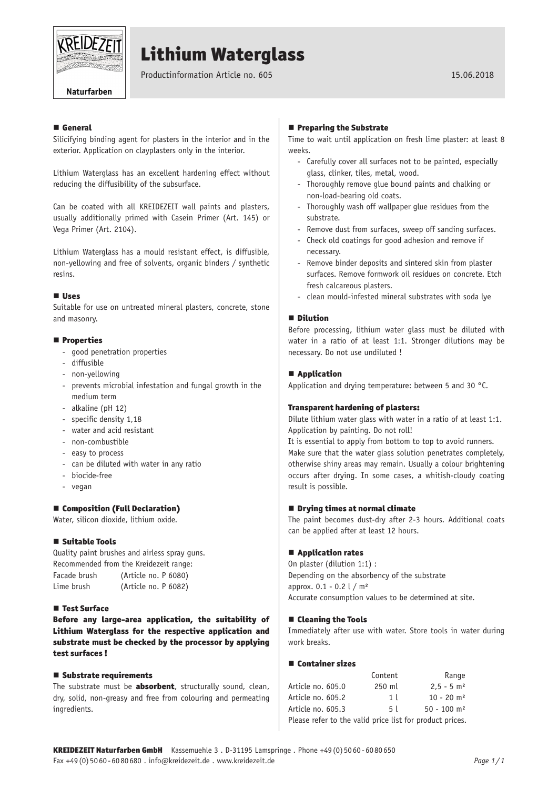

# Lithium Waterglass

Productinformation Article no. 605 15.06.2018

Naturfarben

### **E** General

Silicifying binding agent for plasters in the interior and in the exterior. Application on clayplasters only in the interior.

Lithium Waterglass has an excellent hardening effect without reducing the diffusibility of the subsurface.

Can be coated with all KREIDEZEIT wall paints and plasters, usually additionally primed with Casein Primer (Art. 145) or Vega Primer (Art. 2104).

Lithium Waterglass has a mould resistant effect, is diffusible, non-yellowing and free of solvents, organic binders / synthetic resins.

#### Uses

Suitable for use on untreated mineral plasters, concrete, stone and masonry.

#### **Properties**

- good penetration properties
- diffusible
- non-yellowing
- prevents microbial infestation and fungal growth in the medium term
- alkaline (pH 12)
- specific density 1,18
- water and acid resistant
- non-combustible
- easy to process
- can be diluted with water in any ratio
- biocide-free
- vegan

## ■ Composition (Full Declaration)

Water, silicon dioxide, lithium oxide.

#### ■ Suitable Tools

Quality paint brushes and airless spray guns. Recommended from the Kreidezeit range: Facade brush (Article no. P 6080) Lime brush (Article no. P 6082)

#### ■ Test Surface

Before any large-area application, the suitability of Lithium Waterglass for the respective application and substrate must be checked by the processor by applying test surfaces !

#### ■ Substrate requirements

The substrate must be **absorbent**, structurally sound, clean, dry, solid, non-greasy and free from colouring and permeating ingredients.

#### **Preparing the Substrate**

Time to wait until application on fresh lime plaster: at least 8 weeks.

- Carefully cover all surfaces not to be painted, especially glass, clinker, tiles, metal, wood.
- Thoroughly remove glue bound paints and chalking or non-load-bearing old coats.
- Thoroughly wash off wallpaper glue residues from the substrate.
- Remove dust from surfaces, sweep off sanding surfaces.
- Check old coatings for good adhesion and remove if necessary.
- Remove binder deposits and sintered skin from plaster surfaces. Remove formwork oil residues on concrete. Etch fresh calcareous plasters.
- clean mould-infested mineral substrates with soda lye

#### **Dilution**

Before processing, lithium water glass must be diluted with water in a ratio of at least 1:1. Stronger dilutions may be necessary. Do not use undiluted !

#### **■ Application**

Application and drying temperature: between 5 and 30 °C.

#### Transparent hardening of plasters:

Dilute lithium water glass with water in a ratio of at least 1:1. Application by painting. Do not roll!

It is essential to apply from bottom to top to avoid runners. Make sure that the water glass solution penetrates completely, otherwise shiny areas may remain. Usually a colour brightening occurs after drying. In some cases, a whitish-cloudy coating result is possible.

#### $\blacksquare$  Drying times at normal climate

The paint becomes dust-dry after 2-3 hours. Additional coats can be applied after at least 12 hours.

#### ■ Application rates

On plaster (dilution 1:1) : Depending on the absorbency of the substrate approx.  $0.1 - 0.2$   $\ell$  / m<sup>2</sup> Accurate consumption values to be determined at site.

#### ■ Cleaning the Tools

Immediately after use with water. Store tools in water during work breaks.

#### **■ Container sizes**

|                                                          | Content        | Range                     |
|----------------------------------------------------------|----------------|---------------------------|
| Article no. 605.0                                        | 250 ml         | $2.5 - 5$ m <sup>2</sup>  |
| Article no. 605.2                                        | 1 <sup>1</sup> | $10 - 20$ m <sup>2</sup>  |
| Article no. 605.3                                        | 51             | $50 - 100$ m <sup>2</sup> |
| Please refer to the valid price list for product prices. |                |                           |